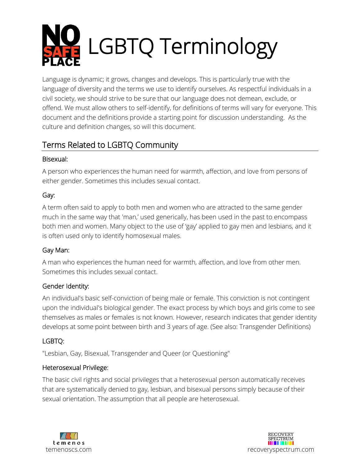

Language is dynamic; it grows, changes and develops. This is particularly true with the language of diversity and the terms we use to identify ourselves. As respectful individuals in a civil society, we should strive to be sure that our language does not demean, exclude, or offend. We must allow others to self-identify, for definitions of terms will vary for everyone. This document and the definitions provide a starting point for discussion understanding. As the culture and definition changes, so will this document.

# Terms Related to LGBTQ Community

## Bisexual:

A person who experiences the human need for warmth, affection, and love from persons of either gender. Sometimes this includes sexual contact.

## Gay:

A term often said to apply to both men and women who are attracted to the same gender much in the same way that 'man,' used generically, has been used in the past to encompass both men and women. Many object to the use of 'gay' applied to gay men and lesbians, and it is often used only to identify homosexual males.

## Gay Man:

A man who experiences the human need for warmth, affection, and love from other men. Sometimes this includes sexual contact.

## Gender Identity:

An individual's basic self-conviction of being male or female. This conviction is not contingent upon the individual's biological gender. The exact process by which boys and girls come to see themselves as males or females is not known. However, research indicates that gender identity develops at some point between birth and 3 years of age. (See also: Transgender Definitions)

## LGBTQ:

"Lesbian, Gay, Bisexual, Transgender and Queer (or Questioning"

## Heterosexual Privilege:

The basic civil rights and social privileges that a heterosexual person automatically receives that are systematically denied to gay, lesbian, and bisexual persons simply because of their sexual orientation. The assumption that all people are heterosexual.



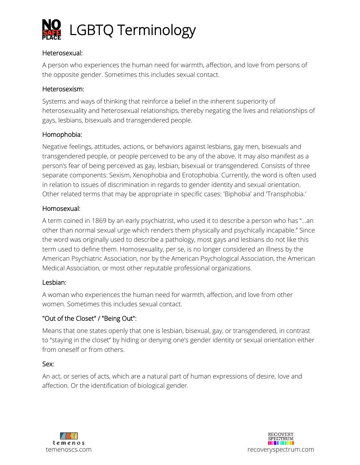

### Heterosexual:

A person who experiences the human need for warmth, affection, and love from persons of the opposite gender. Sometimes this includes sexual contact.

### Heterosexism:

Systems and ways of thinking that reinforce a belief in the inherent superiority of heterosexuality and heterosexual relationships, thereby negating the lives and relationships of gays, lesbians, bisexuals and transgendered people.

### Homophobia:

Negative feelings, attitudes, actions, or behaviors against lesbians, gay men, bisexuals and transgendered people, or people perceived to be any of the above. It may also manifest as a person's fear of being perceived as gay, lesbian, bisexual or transgendered. Consists of three separate components: Sexism, Xenophobia and Erotophobia. Currently, the word is often used in relation to issues of discrimination in regards to gender identity and sexual orientation. Other related terms that may be appropriate in specific cases: 'Biphobia' and 'Transphobia.'

### Homosexual:

A term coined in 1869 by an early psychiatrist, who used it to describe a person who has "…an other than normal sexual urge which renders them physically and psychically incapable." Since the word was originally used to describe a pathology, most gays and lesbians do not like this term used to define them. Homosexuality, per se, is no longer considered an illness by the American Psychiatric Association, nor by the American Psychological Association, the American Medical Association, or most other reputable professional organizations.

### Lesbian:

A woman who experiences the human need for warmth, affection, and love from other women. Sometimes this includes sexual contact.

## "Out of the Closet" / "Being Out":

Means that one states openly that one is lesbian, bisexual, gay, or transgendered, in contrast to "staying in the closet" by hiding or denying one's gender identity or sexual orientation either from oneself or from others.

### Sex:

An act, or series of acts, which are a natural part of human expressions of desire, love and affection. Or the identification of biological gender.



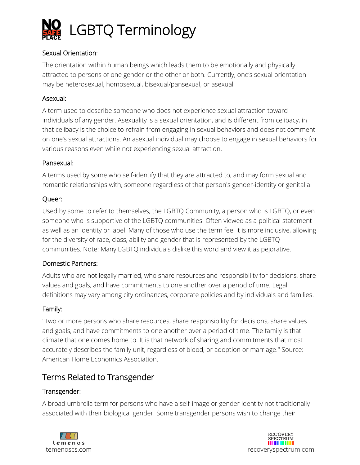

## Sexual Orientation:

The orientation within human beings which leads them to be emotionally and physically attracted to persons of one gender or the other or both. Currently, one's sexual orientation may be heterosexual, homosexual, bisexual/pansexual, or asexual

### Asexual:

A term used to describe someone who does not experience sexual attraction toward individuals of any gender. Asexuality is a sexual orientation, and is different from celibacy, in that celibacy is the choice to refrain from engaging in sexual behaviors and does not comment on one's sexual attractions. An asexual individual may choose to engage in sexual behaviors for various reasons even while not experiencing sexual attraction.

#### Pansexual:

A terms used by some who self-identify that they are attracted to, and may form sexual and romantic relationships with, someone regardless of that person's gender-identity or genitalia.

### Queer:

Used by some to refer to themselves, the LGBTQ Community, a person who is LGBTQ, or even someone who is supportive of the LGBTQ communities. Often viewed as a political statement as well as an identity or label. Many of those who use the term feel it is more inclusive, allowing for the diversity of race, class, ability and gender that is represented by the LGBTQ communities. Note: Many LGBTQ individuals dislike this word and view it as pejorative.

### Domestic Partners:

Adults who are not legally married, who share resources and responsibility for decisions, share values and goals, and have commitments to one another over a period of time. Legal definitions may vary among city ordinances, corporate policies and by individuals and families.

#### Family:

"Two or more persons who share resources, share responsibility for decisions, share values and goals, and have commitments to one another over a period of time. The family is that climate that one comes home to. It is that network of sharing and commitments that most accurately describes the family unit, regardless of blood, or adoption or marriage." Source: American Home Economics Association.

## Terms Related to Transgender

### Transgender:

A broad umbrella term for persons who have a self-image or gender identity not traditionally associated with their biological gender. Some transgender persons wish to change their



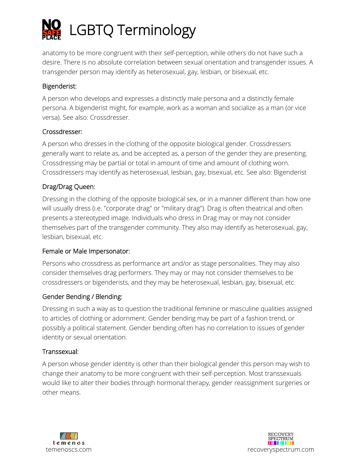

anatomy to be more congruent with their self-perception, while others do not have such a desire. There is no absolute correlation between sexual orientation and transgender issues. A transgender person may identify as heterosexual, gay, lesbian, or bisexual, etc.

## Bigenderist:

A person who develops and expresses a distinctly male persona and a distinctly female persona. A bigenderist might, for example, work as a woman and socialize as a man (or vice versa). See also: Crossdresser.

## Crossdresser:

A person who dresses in the clothing of the opposite biological gender. Crossdressers generally want to relate as, and be accepted as, a person of the gender they are presenting. Crossdressing may be partial or total in amount of time and amount of clothing worn. Crossdressers may identify as heterosexual, lesbian, gay, bisexual, etc. See also: Bigenderist

## Drag/Drag Queen:

Dressing in the clothing of the opposite biological sex, or in a manner different than how one will usually dress (i.e. "corporate drag" or "military drag"). Drag is often theatrical and often presents a stereotyped image. Individuals who dress in Drag may or may not consider themselves part of the transgender community. They also may identify as heterosexual, gay, lesbian, bisexual, etc.

## Female or Male Impersonator:

Persons who crossdress as performance art and/or as stage personalities. They may also consider themselves drag performers. They may or may not consider themselves to be crossdressers or bigenderists, and they may be heterosexual, lesbian, gay, bisexual, etc.

## Gender Bending / Blending:

Dressing in such a way as to question the traditional feminine or masculine qualities assigned to articles of clothing or adornment. Gender bending may be part of a fashion trend, or possibly a political statement. Gender bending often has no correlation to issues of gender identity or sexual orientation.

### Transsexual:

A person whose gender identity is other than their biological gender this person may wish to change their anatomy to be more congruent with their self-perception. Most transsexuals would like to alter their bodies through hormonal therapy, gender reassignment surgeries or other means.



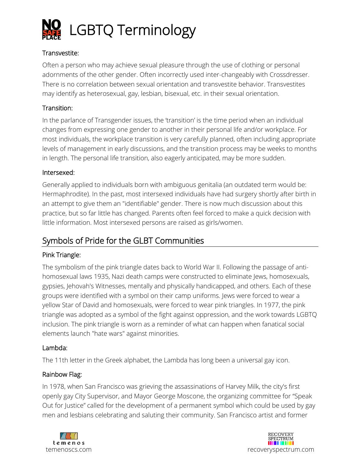

## Transvestite:

Often a person who may achieve sexual pleasure through the use of clothing or personal adornments of the other gender. Often incorrectly used inter-changeably with Crossdresser. There is no correlation between sexual orientation and transvestite behavior. Transvestites may identify as heterosexual, gay, lesbian, bisexual, etc. in their sexual orientation.

## Transition:

In the parlance of Transgender issues, the 'transition' is the time period when an individual changes from expressing one gender to another in their personal life and/or workplace. For most individuals, the workplace transition is very carefully planned, often including appropriate levels of management in early discussions, and the transition process may be weeks to months in length. The personal life transition, also eagerly anticipated, may be more sudden.

### Intersexed:

Generally applied to individuals born with ambiguous genitalia (an outdated term would be: Hermaphrodite). In the past, most intersexed individuals have had surgery shortly after birth in an attempt to give them an "identifiable" gender. There is now much discussion about this practice, but so far little has changed. Parents often feel forced to make a quick decision with little information. Most intersexed persons are raised as girls/women.

## Symbols of Pride for the GLBT Communities

## Pink Triangle:

The symbolism of the pink triangle dates back to World War II. Following the passage of antihomosexual laws 1935, Nazi death camps were constructed to eliminate Jews, homosexuals, gypsies, Jehovah's Witnesses, mentally and physically handicapped, and others. Each of these groups were identified with a symbol on their camp uniforms. Jews were forced to wear a yellow Star of David and homosexuals, were forced to wear pink triangles. In 1977, the pink triangle was adopted as a symbol of the fight against oppression, and the work towards LGBTQ inclusion. The pink triangle is worn as a reminder of what can happen when fanatical social elements launch "hate wars" against minorities.

## Lambda:

The 11th letter in the Greek alphabet, the Lambda has long been a universal gay icon.

## Rainbow Flag:

In 1978, when San Francisco was grieving the assassinations of Harvey Milk, the city's first openly gay City Supervisor, and Mayor George Moscone, the organizing committee for "Speak Out for Justice" called for the development of a permanent symbol which could be used by gay men and lesbians celebrating and saluting their community. San Francisco artist and former